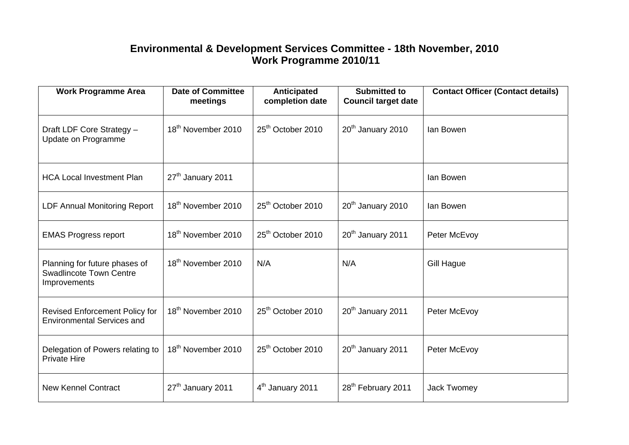## **Environmental & Development Services Committee - 18th November, 2010 Work Programme 2010/11**

| <b>Work Programme Area</b>                                                      | <b>Date of Committee</b><br>meetings | <b>Anticipated</b><br>completion date | <b>Submitted to</b><br><b>Council target date</b> | <b>Contact Officer (Contact details)</b> |
|---------------------------------------------------------------------------------|--------------------------------------|---------------------------------------|---------------------------------------------------|------------------------------------------|
| Draft LDF Core Strategy -<br>Update on Programme                                | 18 <sup>th</sup> November 2010       | 25 <sup>th</sup> October 2010         | 20 <sup>th</sup> January 2010                     | lan Bowen                                |
| <b>HCA Local Investment Plan</b>                                                | 27 <sup>th</sup> January 2011        |                                       |                                                   | lan Bowen                                |
| <b>LDF Annual Monitoring Report</b>                                             | 18 <sup>th</sup> November 2010       | 25 <sup>th</sup> October 2010         | 20 <sup>th</sup> January 2010                     | lan Bowen                                |
| <b>EMAS Progress report</b>                                                     | 18 <sup>th</sup> November 2010       | 25 <sup>th</sup> October 2010         | 20 <sup>th</sup> January 2011                     | Peter McEvoy                             |
| Planning for future phases of<br><b>Swadlincote Town Centre</b><br>Improvements | 18 <sup>th</sup> November 2010       | N/A                                   | N/A                                               | <b>Gill Hague</b>                        |
| <b>Revised Enforcement Policy for</b><br><b>Environmental Services and</b>      | 18 <sup>th</sup> November 2010       | 25 <sup>th</sup> October 2010         | 20 <sup>th</sup> January 2011                     | Peter McEvoy                             |
| Delegation of Powers relating to<br><b>Private Hire</b>                         | 18 <sup>th</sup> November 2010       | 25 <sup>th</sup> October 2010         | 20 <sup>th</sup> January 2011                     | Peter McEvoy                             |
| <b>New Kennel Contract</b>                                                      | 27 <sup>th</sup> January 2011        | 4 <sup>th</sup> January 2011          | 28 <sup>th</sup> February 2011                    | <b>Jack Twomey</b>                       |